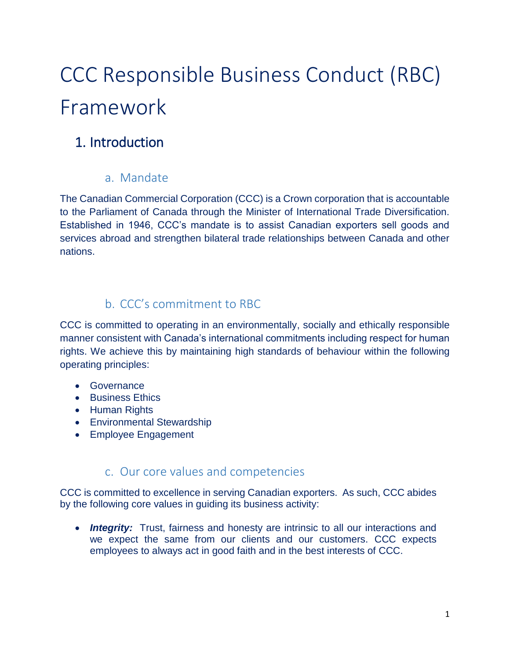# CCC Responsible Business Conduct (RBC) Framework

# 1. Introduction

### a. Mandate

The Canadian Commercial Corporation (CCC) is a Crown corporation that is accountable to the Parliament of Canada through the Minister of International Trade Diversification. Established in 1946, CCC's mandate is to assist Canadian exporters sell goods and services abroad and strengthen bilateral trade relationships between Canada and other nations.

### b. CCC's commitment to RBC

CCC is committed to operating in an environmentally, socially and ethically responsible manner consistent with Canada's international commitments including respect for human rights. We achieve this by maintaining high standards of behaviour within the following operating principles:

- **•** Governance
- Business Ethics
- Human Rights
- **•** Environmental Stewardship
- Employee Engagement

### c. Our core values and competencies

CCC is committed to excellence in serving Canadian exporters. As such, CCC abides by the following core values in guiding its business activity:

• **Integrity:** Trust, fairness and honesty are intrinsic to all our interactions and we expect the same from our clients and our customers. CCC expects employees to always act in good faith and in the best interests of CCC.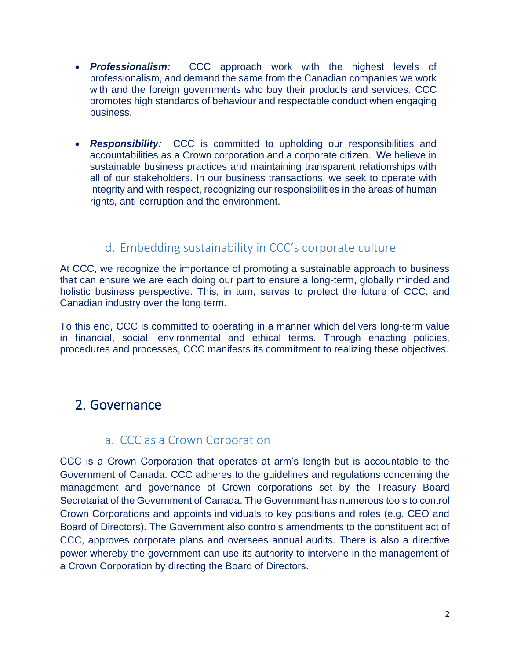- *Professionalism:* CCC approach work with the highest levels of professionalism, and demand the same from the Canadian companies we work with and the foreign governments who buy their products and services. CCC promotes high standards of behaviour and respectable conduct when engaging business.
- *Responsibility:* CCC is committed to upholding our responsibilities and accountabilities as a Crown corporation and a corporate citizen. We believe in sustainable business practices and maintaining transparent relationships with all of our stakeholders. In our business transactions, we seek to operate with integrity and with respect, recognizing our responsibilities in the areas of human rights, anti-corruption and the environment.

### d. Embedding sustainability in CCC's corporate culture

At CCC, we recognize the importance of promoting a sustainable approach to business that can ensure we are each doing our part to ensure a long-term, globally minded and holistic business perspective. This, in turn, serves to protect the future of CCC, and Canadian industry over the long term.

To this end, CCC is committed to operating in a manner which delivers long-term value in financial, social, environmental and ethical terms. Through enacting policies, procedures and processes, CCC manifests its commitment to realizing these objectives.

# 2. Governance

#### a. CCC as a Crown Corporation

CCC is a Crown Corporation that operates at arm's length but is accountable to the Government of Canada. CCC adheres to the guidelines and regulations concerning the management and governance of Crown corporations set by the Treasury Board Secretariat of the Government of Canada. The Government has numerous tools to control Crown Corporations and appoints individuals to key positions and roles (e.g. CEO and Board of Directors). The Government also controls amendments to the constituent act of CCC, approves corporate plans and oversees annual audits. There is also a directive power whereby the government can use its authority to intervene in the management of a Crown Corporation by directing the Board of Directors.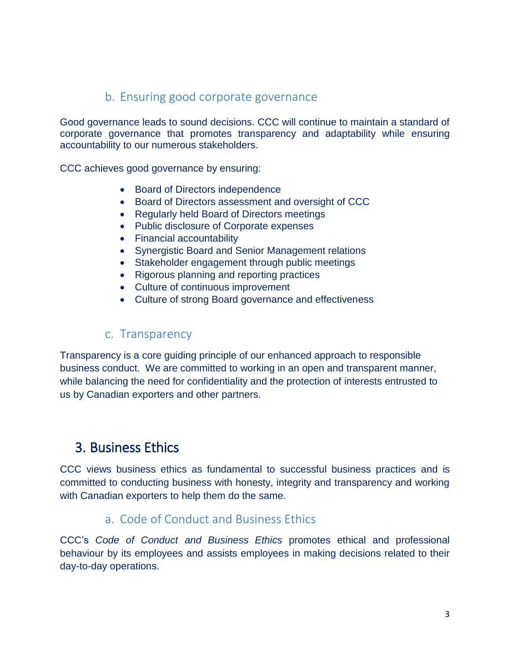### b. Ensuring good corporate governance

Good governance leads to sound decisions. CCC will continue to maintain a standard of corporate governance that promotes transparency and adaptability while ensuring accountability to our numerous stakeholders.

CCC achieves good governance by ensuring:

- Board of Directors independence
- Board of Directors assessment and oversight of CCC
- Regularly held Board of Directors meetings
- Public disclosure of Corporate expenses
- Financial accountability
- Synergistic Board and Senior Management relations
- Stakeholder engagement through public meetings
- Rigorous planning and reporting practices
- Culture of continuous improvement
- Culture of strong Board governance and effectiveness

### c. Transparency

Transparency is a core guiding principle of our enhanced approach to responsible business conduct. We are committed to working in an open and transparent manner, while balancing the need for confidentiality and the protection of interests entrusted to us by Canadian exporters and other partners.

# 3. Business Ethics

CCC views business ethics as fundamental to successful business practices and is committed to conducting business with honesty, integrity and transparency and working with Canadian exporters to help them do the same.

### a. Code of Conduct and Business Ethics

CCC's *Code of Conduct and Business Ethics* promotes ethical and professional behaviour by its employees and assists employees in making decisions related to their day-to-day operations.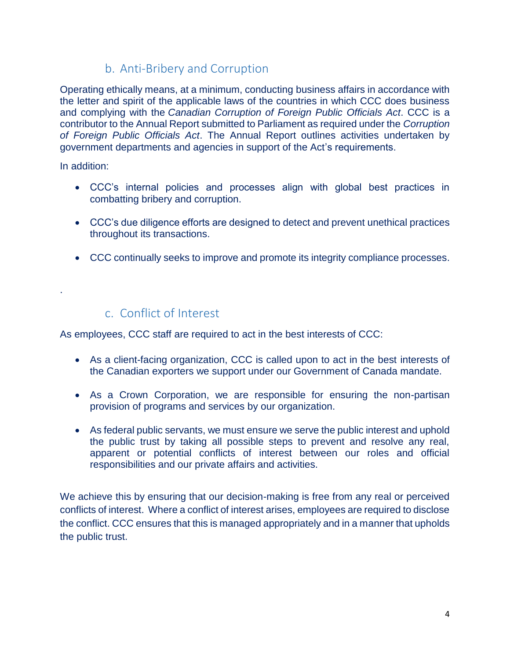## b. Anti-Bribery and Corruption

Operating ethically means, at a minimum, conducting business affairs in accordance with the letter and spirit of the applicable laws of the countries in which CCC does business and complying with the *Canadian Corruption of Foreign Public Officials Act*. CCC is a contributor to the Annual Report submitted to Parliament as required under the *Corruption of Foreign Public Officials Act*. The Annual Report outlines activities undertaken by government departments and agencies in support of the Act's requirements.

In addition:

.

- CCC's internal policies and processes align with global best practices in combatting bribery and corruption.
- CCC's due diligence efforts are designed to detect and prevent unethical practices throughout its transactions.
- CCC continually seeks to improve and promote its integrity compliance processes.

### c. Conflict of Interest

As employees, CCC staff are required to act in the best interests of CCC:

- As a client-facing organization, CCC is called upon to act in the best interests of the Canadian exporters we support under our Government of Canada mandate.
- As a Crown Corporation, we are responsible for ensuring the non-partisan provision of programs and services by our organization.
- As federal public servants, we must ensure we serve the public interest and uphold the public trust by taking all possible steps to prevent and resolve any real, apparent or potential conflicts of interest between our roles and official responsibilities and our private affairs and activities.

We achieve this by ensuring that our decision-making is free from any real or perceived conflicts of interest. Where a conflict of interest arises, employees are required to disclose the conflict. CCC ensures that this is managed appropriately and in a manner that upholds the public trust.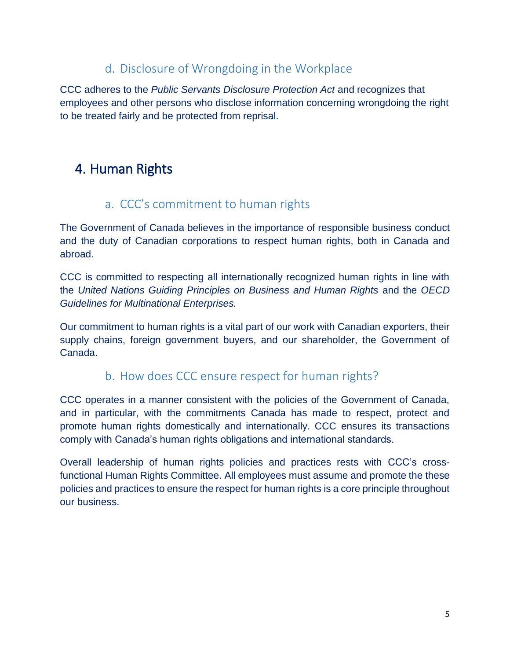### d. Disclosure of Wrongdoing in the Workplace

CCC adheres to the *Public Servants Disclosure Protection Act* and recognizes that employees and other persons who disclose information concerning wrongdoing the right to be treated fairly and be protected from reprisal.

# 4. Human Rights

### a. CCC's commitment to human rights

The Government of Canada believes in the importance of responsible business conduct and the duty of Canadian corporations to respect human rights, both in Canada and abroad.

CCC is committed to respecting all internationally recognized human rights in line with the *United Nations Guiding Principles on Business and Human Rights* and the *OECD Guidelines for Multinational Enterprises.*

Our commitment to human rights is a vital part of our work with Canadian exporters, their supply chains, foreign government buyers, and our shareholder, the Government of Canada.

### b. How does CCC ensure respect for human rights?

CCC operates in a manner consistent with the policies of the Government of Canada, and in particular, with the commitments Canada has made to respect, protect and promote human rights domestically and internationally. CCC ensures its transactions comply with Canada's human rights obligations and international standards.

Overall leadership of human rights policies and practices rests with CCC's crossfunctional Human Rights Committee. All employees must assume and promote the these policies and practices to ensure the respect for human rights is a core principle throughout our business.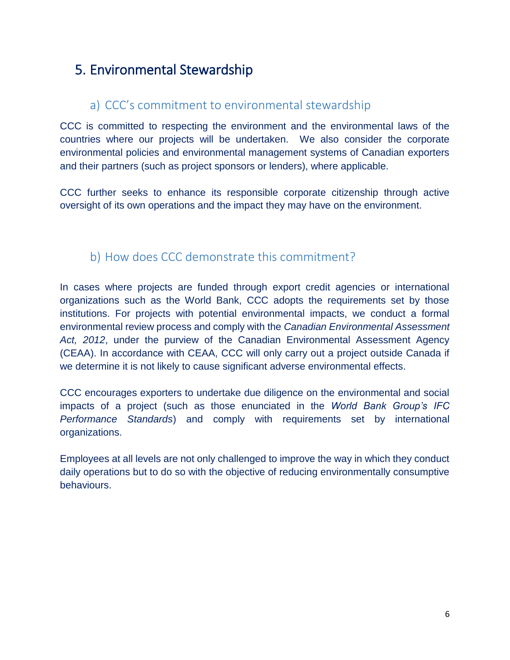# 5. Environmental Stewardship

### a) CCC's commitment to environmental stewardship

CCC is committed to respecting the environment and the environmental laws of the countries where our projects will be undertaken. We also consider the corporate environmental policies and environmental management systems of Canadian exporters and their partners (such as project sponsors or lenders), where applicable.

CCC further seeks to enhance its responsible corporate citizenship through active oversight of its own operations and the impact they may have on the environment.

### b) How does CCC demonstrate this commitment?

In cases where projects are funded through export credit agencies or international organizations such as the World Bank, CCC adopts the requirements set by those institutions. For projects with potential environmental impacts, we conduct a formal environmental review process and comply with the *Canadian Environmental Assessment Act, 2012*, under the purview of the Canadian Environmental Assessment Agency (CEAA). In accordance with CEAA, CCC will only carry out a project outside Canada if we determine it is not likely to cause significant adverse environmental effects.

CCC encourages exporters to undertake due diligence on the environmental and social impacts of a project (such as those enunciated in the *World Bank Group's IFC Performance Standards*) and comply with requirements set by international organizations.

Employees at all levels are not only challenged to improve the way in which they conduct daily operations but to do so with the objective of reducing environmentally consumptive behaviours.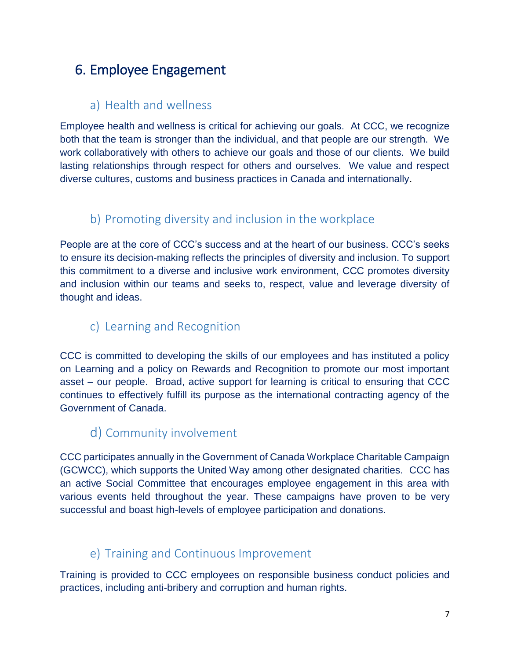# 6. Employee Engagement

# a) Health and wellness

Employee health and wellness is critical for achieving our goals. At CCC, we recognize both that the team is stronger than the individual, and that people are our strength. We work collaboratively with others to achieve our goals and those of our clients. We build lasting relationships through respect for others and ourselves. We value and respect diverse cultures, customs and business practices in Canada and internationally.

### b) Promoting diversity and inclusion in the workplace

People are at the core of CCC's success and at the heart of our business. CCC's seeks to ensure its decision-making reflects the principles of diversity and inclusion. To support this commitment to a diverse and inclusive work environment, CCC promotes diversity and inclusion within our teams and seeks to, respect, value and leverage diversity of thought and ideas.

### c) Learning and Recognition

CCC is committed to developing the skills of our employees and has instituted a policy on Learning and a policy on Rewards and Recognition to promote our most important asset – our people. Broad, active support for learning is critical to ensuring that CCC continues to effectively fulfill its purpose as the international contracting agency of the Government of Canada.

### d) Community involvement

CCC participates annually in the Government of Canada Workplace Charitable Campaign (GCWCC), which supports the United Way among other designated charities. CCC has an active Social Committee that encourages employee engagement in this area with various events held throughout the year. These campaigns have proven to be very successful and boast high-levels of employee participation and donations.

### e) Training and Continuous Improvement

Training is provided to CCC employees on responsible business conduct policies and practices, including anti-bribery and corruption and human rights.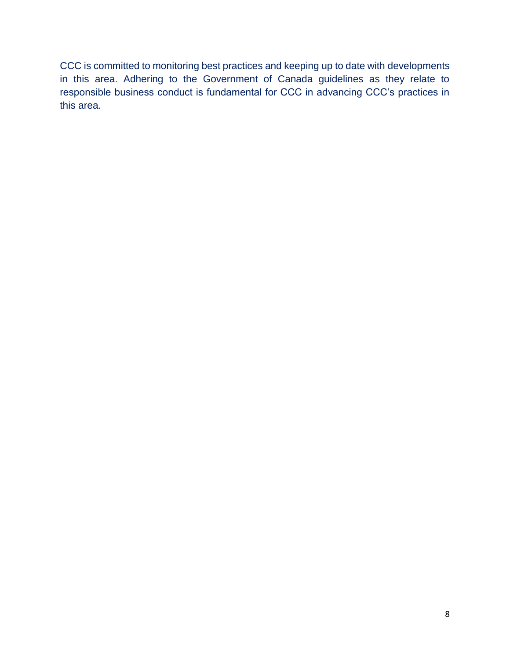CCC is committed to monitoring best practices and keeping up to date with developments in this area. Adhering to the Government of Canada guidelines as they relate to responsible business conduct is fundamental for CCC in advancing CCC's practices in this area.